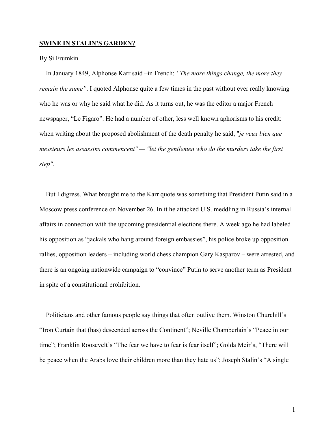## **SWINE IN STALIN'S GARDEN?**

## By Si Frumkin

In January 1849, Alphonse Karr said –in French: *"The more things change, the more they remain the same"*. I quoted Alphonse quite a few times in the past without ever really knowing who he was or why he said what he did. As it turns out, he was the editor a major French newspaper, "Le Figaro". He had a number of other, less well known aphorisms to his credit: when writing about the proposed abolishment of the death penalty he said, "*je veux bien que messieurs les assassins commencent" — "let the gentlemen who do the murders take the first step".* 

But I digress. What brought me to the Karr quote was something that President Putin said in a Moscow press conference on November 26. In it he attacked U.S. meddling in Russia's internal affairs in connection with the upcoming presidential elections there. A week ago he had labeled his opposition as "jackals who hang around foreign embassies", his police broke up opposition rallies, opposition leaders – including world chess champion Gary Kasparov – were arrested, and there is an ongoing nationwide campaign to "convince" Putin to serve another term as President in spite of a constitutional prohibition.

Politicians and other famous people say things that often outlive them. Winston Churchill's "Iron Curtain that (has) descended across the Continent"; Neville Chamberlain's "Peace in our time"; Franklin Roosevelt's "The fear we have to fear is fear itself"; Golda Meir's, "There will be peace when the Arabs love their children more than they hate us"; Joseph Stalin's "A single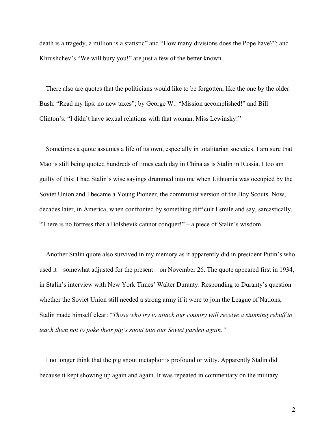death is a tragedy, a million is a statistic" and "How many divisions does the Pope have?"; and Khrushchev's "We will bury you!" are just a few of the better known.

There also are quotes that the politicians would like to be forgotten, like the one by the older Bush: "Read my lips: no new taxes"; by George W.: "Mission accomplished!" and Bill Clinton's: "I didn't have sexual relations with that woman, Miss Lewinsky!"

Sometimes a quote assumes a life of its own, especially in totalitarian societies. I am sure that Mao is still being quoted hundreds of times each day in China as is Stalin in Russia. I too am guilty of this: I had Stalin's wise sayings drummed into me when Lithuania was occupied by the Soviet Union and I became a Young Pioneer, the communist version of the Boy Scouts. Now, decades later, in America, when confronted by something difficult I smile and say, sarcastically, "There is no fortress that a Bolshevik cannot conquer!" – a piece of Stalin's wisdom.

Another Stalin quote also survived in my memory as it apparently did in president Putin's who used it – somewhat adjusted for the present – on November 26. The quote appeared first in 1934, in Stalin's interview with New York Times' Walter Duranty. Responding to Duranty's question whether the Soviet Union still needed a strong army if it were to join the League of Nations, Stalin made himself clear: "*Those who try to attack our country will receive a stunning rebuff to teach them not to poke their pig's snout into our Soviet garden again."* 

I no longer think that the pig snout metaphor is profound or witty. Apparently Stalin did because it kept showing up again and again. It was repeated in commentary on the military